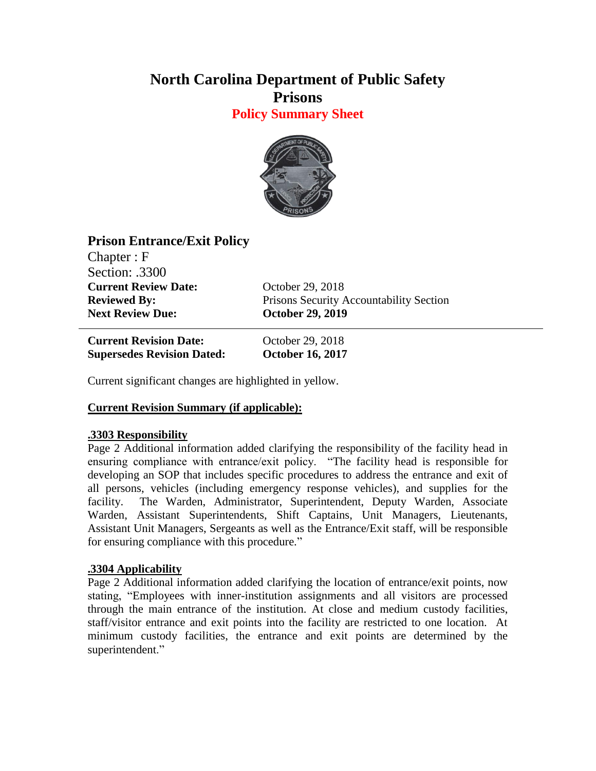# **North Carolina Department of Public Safety Prisons**

**Policy Summary Sheet**



# **Prison Entrance/Exit Policy**

Chapter : F Section: .3300 **Current Review Date:** October 29, 2018 **Next Review Due: October 29, 2019**

**Reviewed By:** Prisons Security Accountability Section

**Current Revision Date:** October 29, 2018 **Supersedes Revision Dated: October 16, 2017**

Current significant changes are highlighted in yellow.

## **Current Revision Summary (if applicable):**

## **.3303 Responsibility**

Page 2 Additional information added clarifying the responsibility of the facility head in ensuring compliance with entrance/exit policy. "The facility head is responsible for developing an SOP that includes specific procedures to address the entrance and exit of all persons, vehicles (including emergency response vehicles), and supplies for the facility. The Warden, Administrator, Superintendent, Deputy Warden, Associate Warden, Assistant Superintendents, Shift Captains, Unit Managers, Lieutenants, Assistant Unit Managers, Sergeants as well as the Entrance/Exit staff, will be responsible for ensuring compliance with this procedure."

## **.3304 Applicability**

Page 2 Additional information added clarifying the location of entrance/exit points, now stating, "Employees with inner-institution assignments and all visitors are processed through the main entrance of the institution. At close and medium custody facilities, staff/visitor entrance and exit points into the facility are restricted to one location. At minimum custody facilities, the entrance and exit points are determined by the superintendent."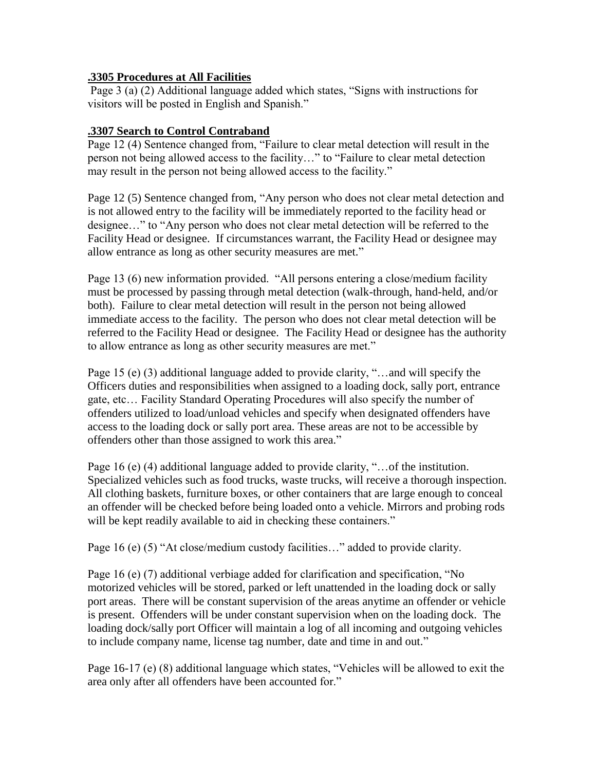#### **.3305 Procedures at All Facilities**

Page 3 (a) (2) Additional language added which states, "Signs with instructions for visitors will be posted in English and Spanish."

#### **.3307 Search to Control Contraband**

Page 12 (4) Sentence changed from, "Failure to clear metal detection will result in the person not being allowed access to the facility…" to "Failure to clear metal detection may result in the person not being allowed access to the facility."

Page 12 (5) Sentence changed from, "Any person who does not clear metal detection and is not allowed entry to the facility will be immediately reported to the facility head or designee…" to "Any person who does not clear metal detection will be referred to the Facility Head or designee. If circumstances warrant, the Facility Head or designee may allow entrance as long as other security measures are met."

Page 13 (6) new information provided. "All persons entering a close/medium facility must be processed by passing through metal detection (walk-through, hand-held, and/or both). Failure to clear metal detection will result in the person not being allowed immediate access to the facility. The person who does not clear metal detection will be referred to the Facility Head or designee. The Facility Head or designee has the authority to allow entrance as long as other security measures are met."

Page 15 (e) (3) additional language added to provide clarity, "…and will specify the Officers duties and responsibilities when assigned to a loading dock, sally port, entrance gate, etc… Facility Standard Operating Procedures will also specify the number of offenders utilized to load/unload vehicles and specify when designated offenders have access to the loading dock or sally port area. These areas are not to be accessible by offenders other than those assigned to work this area."

Page 16 (e) (4) additional language added to provide clarity, "... of the institution. Specialized vehicles such as food trucks, waste trucks, will receive a thorough inspection. All clothing baskets, furniture boxes, or other containers that are large enough to conceal an offender will be checked before being loaded onto a vehicle. Mirrors and probing rods will be kept readily available to aid in checking these containers."

Page 16 (e) (5) "At close/medium custody facilities…" added to provide clarity.

Page 16 (e) (7) additional verbiage added for clarification and specification, "No motorized vehicles will be stored, parked or left unattended in the loading dock or sally port areas. There will be constant supervision of the areas anytime an offender or vehicle is present. Offenders will be under constant supervision when on the loading dock. The loading dock/sally port Officer will maintain a log of all incoming and outgoing vehicles to include company name, license tag number, date and time in and out."

Page 16-17 (e) (8) additional language which states, "Vehicles will be allowed to exit the area only after all offenders have been accounted for."